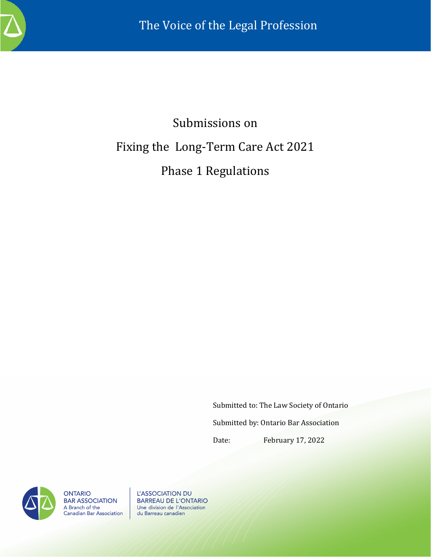

# Submissions on Fixing the Long-Term Care Act 2021 Phase 1 Regulations

Submitted to: The Law Society of Ontario

Submitted by: Ontario Bar Association

Date: February 17, 2022



**ONTARIO BAR ASSOCIATION** A Branch of the<br>Canadian Bar Association

L'ASSOCIATION DU **BARREAU DE L'ONTARIO** Une division de l'Association du Barreau canadien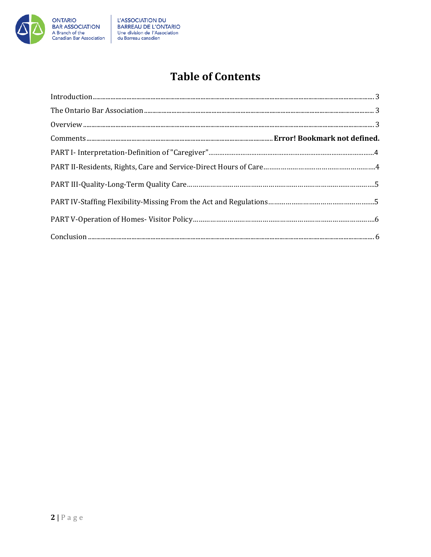

# **Table of Contents**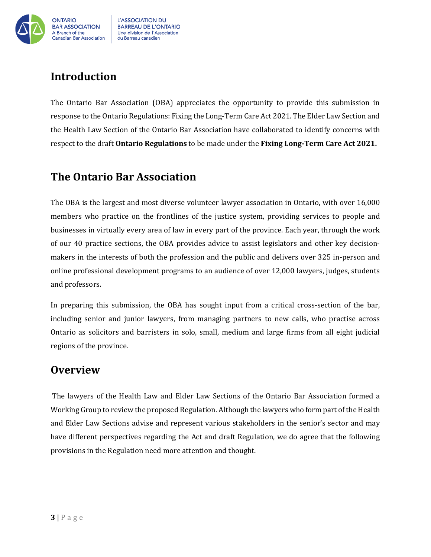

# <span id="page-2-0"></span>**Introduction**

The Ontario Bar Association (OBA) appreciates the opportunity to provide this submission in response to the Ontario Regulations: Fixing the Long-Term Care Act 2021. The Elder Law Section and the Health Law Section of the Ontario Bar Association have collaborated to identify concerns with respect to the draft **Ontario Regulations** to be made under the **Fixing Long-Term Care Act 2021.** 

### <span id="page-2-1"></span>**The Ontario Bar Association**

The OBA is the largest and most diverse volunteer lawyer association in Ontario, with over 16,000 members who practice on the frontlines of the justice system, providing services to people and businesses in virtually every area of law in every part of the province. Each year, through the work of our 40 practice sections, the OBA provides advice to assist legislators and other key decisionmakers in the interests of both the profession and the public and delivers over 325 in-person and online professional development programs to an audience of over 12,000 lawyers, judges, students and professors.

In preparing this submission, the OBA has sought input from a critical cross-section of the bar, including senior and junior lawyers, from managing partners to new calls, who practise across Ontario as solicitors and barristers in solo, small, medium and large firms from all eight judicial regions of the province.

### <span id="page-2-2"></span>**Overview**

The lawyers of the Health Law and Elder Law Sections of the Ontario Bar Association formed a Working Group to review the proposed Regulation. Although the lawyers who form part of the Health and Elder Law Sections advise and represent various stakeholders in the senior's sector and may have different perspectives regarding the Act and draft Regulation, we do agree that the following provisions in the Regulation need more attention and thought.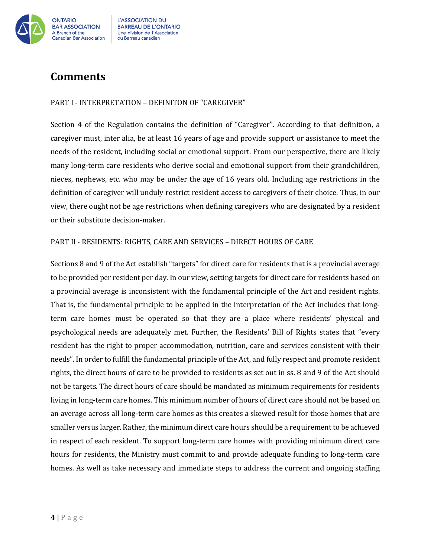

## **Comments**

#### PART I - INTERPRETATION – DEFINITON OF "CAREGIVER"

Section 4 of the Regulation contains the definition of "Caregiver". According to that definition, a caregiver must, inter alia, be at least 16 years of age and provide support or assistance to meet the needs of the resident, including social or emotional support. From our perspective, there are likely many long-term care residents who derive social and emotional support from their grandchildren, nieces, nephews, etc. who may be under the age of 16 years old. Including age restrictions in the definition of caregiver will unduly restrict resident access to caregivers of their choice. Thus, in our view, there ought not be age restrictions when defining caregivers who are designated by a resident or their substitute decision-maker.

#### PART II - RESIDENTS: RIGHTS, CARE AND SERVICES – DIRECT HOURS OF CARE

Sections 8 and 9 of the Act establish "targets" for direct care for residents that is a provincial average to be provided per resident per day. In our view, setting targets for direct care for residents based on a provincial average is inconsistent with the fundamental principle of the Act and resident rights. That is, the fundamental principle to be applied in the interpretation of the Act includes that longterm care homes must be operated so that they are a place where residents' physical and psychological needs are adequately met. Further, the Residents' Bill of Rights states that "every resident has the right to proper accommodation, nutrition, care and services consistent with their needs". In order to fulfill the fundamental principle of the Act, and fully respect and promote resident rights, the direct hours of care to be provided to residents as set out in ss. 8 and 9 of the Act should not be targets. The direct hours of care should be mandated as minimum requirements for residents living in long-term care homes. This minimum number of hours of direct care should not be based on an average across all long-term care homes as this creates a skewed result for those homes that are smaller versus larger. Rather, the minimum direct care hours should be a requirement to be achieved in respect of each resident. To support long-term care homes with providing minimum direct care hours for residents, the Ministry must commit to and provide adequate funding to long-term care homes. As well as take necessary and immediate steps to address the current and ongoing staffing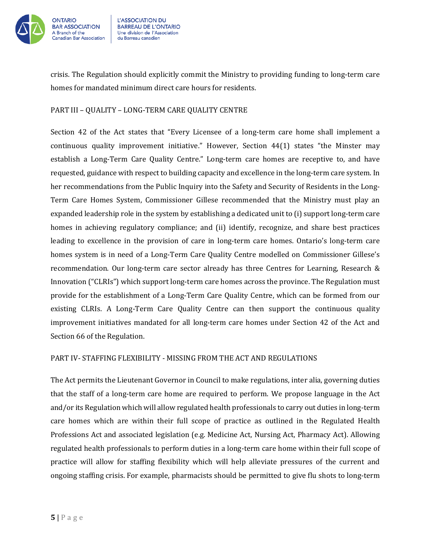

crisis. The Regulation should explicitly commit the Ministry to providing funding to long-term care homes for mandated minimum direct care hours for residents.

#### PART III – QUALITY – LONG-TERM CARE QUALITY CENTRE

Section 42 of the Act states that "Every Licensee of a long-term care home shall implement a continuous quality improvement initiative." However, Section 44(1) states "the Minster may establish a Long-Term Care Quality Centre." Long-term care homes are receptive to, and have requested, guidance with respect to building capacity and excellence in the long-term care system. In her recommendations from the Public Inquiry into the Safety and Security of Residents in the Long-Term Care Homes System, Commissioner Gillese recommended that the Ministry must play an expanded leadership role in the system by establishing a dedicated unit to (i) support long-term care homes in achieving regulatory compliance; and (ii) identify, recognize, and share best practices leading to excellence in the provision of care in long-term care homes. Ontario's long-term care homes system is in need of a Long-Term Care Quality Centre modelled on Commissioner Gillese's recommendation. Our long-term care sector already has three Centres for Learning, Research & Innovation ("CLRIs") which support long-term care homes across the province. The Regulation must provide for the establishment of a Long-Term Care Quality Centre, which can be formed from our existing CLRIs. A Long-Term Care Quality Centre can then support the continuous quality improvement initiatives mandated for all long-term care homes under Section 42 of the Act and Section 66 of the Regulation.

#### PART IV- STAFFING FLEXIBILITY - MISSING FROM THE ACT AND REGULATIONS

The Act permits the Lieutenant Governor in Council to make regulations, inter alia, governing duties that the staff of a long-term care home are required to perform. We propose language in the Act and/or its Regulation which will allow regulated health professionals to carry out duties in long-term care homes which are within their full scope of practice as outlined in the Regulated Health Professions Act and associated legislation (e.g. Medicine Act, Nursing Act, Pharmacy Act). Allowing regulated health professionals to perform duties in a long-term care home within their full scope of practice will allow for staffing flexibility which will help alleviate pressures of the current and ongoing staffing crisis. For example, pharmacists should be permitted to give flu shots to long-term